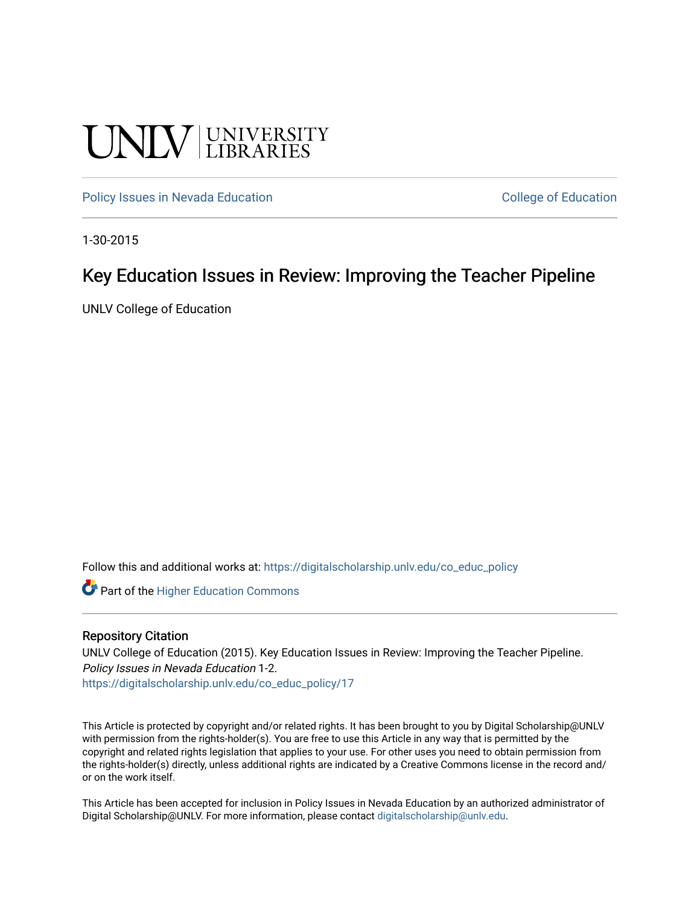# UNIV UNIVERSITY

[Policy Issues in Nevada Education](https://digitalscholarship.unlv.edu/co_educ_policy) **College of Education** College of Education

1-30-2015

## Key Education Issues in Review: Improving the Teacher Pipeline

UNLV College of Education

Follow this and additional works at: [https://digitalscholarship.unlv.edu/co\\_educ\\_policy](https://digitalscholarship.unlv.edu/co_educ_policy?utm_source=digitalscholarship.unlv.edu%2Fco_educ_policy%2F17&utm_medium=PDF&utm_campaign=PDFCoverPages)

**C** Part of the Higher Education Commons

#### Repository Citation

UNLV College of Education (2015). Key Education Issues in Review: Improving the Teacher Pipeline. Policy Issues in Nevada Education 1-2. [https://digitalscholarship.unlv.edu/co\\_educ\\_policy/17](https://digitalscholarship.unlv.edu/co_educ_policy/17) 

This Article is protected by copyright and/or related rights. It has been brought to you by Digital Scholarship@UNLV with permission from the rights-holder(s). You are free to use this Article in any way that is permitted by the copyright and related rights legislation that applies to your use. For other uses you need to obtain permission from the rights-holder(s) directly, unless additional rights are indicated by a Creative Commons license in the record and/ or on the work itself.

This Article has been accepted for inclusion in Policy Issues in Nevada Education by an authorized administrator of Digital Scholarship@UNLV. For more information, please contact [digitalscholarship@unlv.edu](mailto:digitalscholarship@unlv.edu).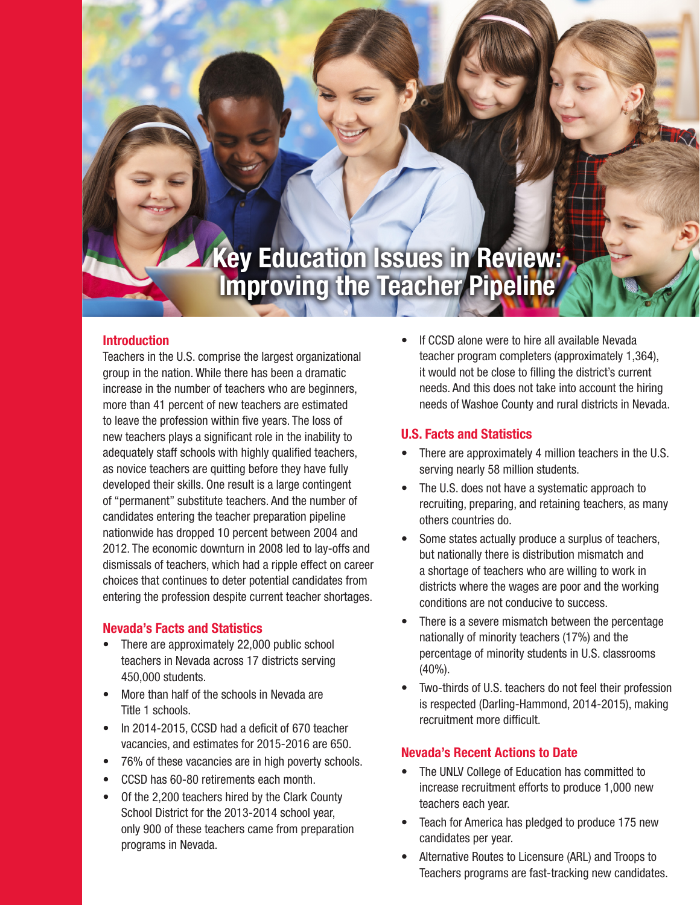# **Key Education Issues in Review: Improving the Teacher Pipeline**

#### **Introduction**

Teachers in the U.S. comprise the largest organizational group in the nation. While there has been a dramatic increase in the number of teachers who are beginners, more than 41 percent of new teachers are estimated to leave the profession within five years. The loss of new teachers plays a significant role in the inability to adequately staff schools with highly qualified teachers, as novice teachers are quitting before they have fully developed their skills. One result is a large contingent of "permanent" substitute teachers. And the number of candidates entering the teacher preparation pipeline nationwide has dropped 10 percent between 2004 and 2012. The economic downturn in 2008 led to lay-offs and dismissals of teachers, which had a ripple effect on career choices that continues to deter potential candidates from entering the profession despite current teacher shortages.

#### **Nevada's Facts and Statistics**

- There are approximately 22,000 public school teachers in Nevada across 17 districts serving 450,000 students.
- More than half of the schools in Nevada are Title 1 schools.
- In 2014-2015, CCSD had a deficit of 670 teacher vacancies, and estimates for 2015-2016 are 650.
- 76% of these vacancies are in high poverty schools.
- CCSD has 60-80 retirements each month.
- Of the 2,200 teachers hired by the Clark County School District for the 2013-2014 school year, only 900 of these teachers came from preparation programs in Nevada.

If CCSD alone were to hire all available Nevada teacher program completers (approximately 1,364), it would not be close to filling the district's current needs. And this does not take into account the hiring needs of Washoe County and rural districts in Nevada.

#### **U.S. Facts and Statistics**

- There are approximately 4 million teachers in the U.S. serving nearly 58 million students.
- The U.S. does not have a systematic approach to recruiting, preparing, and retaining teachers, as many others countries do.
- Some states actually produce a surplus of teachers, but nationally there is distribution mismatch and a shortage of teachers who are willing to work in districts where the wages are poor and the working conditions are not conducive to success.
- There is a severe mismatch between the percentage nationally of minority teachers (17%) and the percentage of minority students in U.S. classrooms (40%).
- Two-thirds of U.S. teachers do not feel their profession is respected (Darling-Hammond, 2014-2015), making recruitment more difficult.

#### **Nevada's Recent Actions to Date**

- The UNLV College of Education has committed to increase recruitment efforts to produce 1,000 new teachers each year.
- Teach for America has pledged to produce 175 new candidates per year.
- Alternative Routes to Licensure (ARL) and Troops to Teachers programs are fast-tracking new candidates.